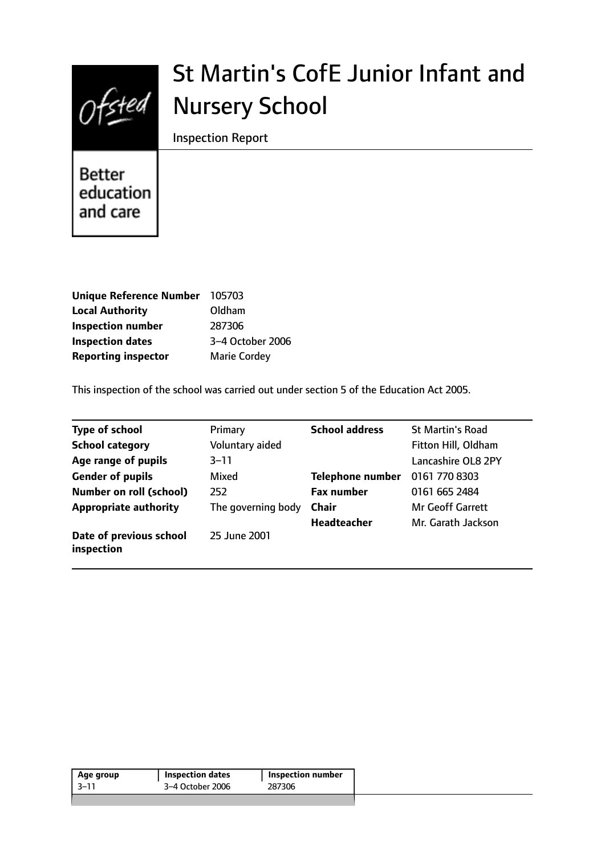

# St Martin's CofE Junior Infant and Nursery School

Inspection Report

Better education and care

| <b>Unique Reference Number</b> | 105703              |
|--------------------------------|---------------------|
| <b>Local Authority</b>         | Oldham              |
| <b>Inspection number</b>       | 287306              |
| <b>Inspection dates</b>        | 3-4 October 2006    |
| <b>Reporting inspector</b>     | <b>Marie Cordey</b> |

This inspection of the school was carried out under section 5 of the Education Act 2005.

| <b>Type of school</b>                 | Primary            | <b>School address</b>   | <b>St Martin's Road</b> |
|---------------------------------------|--------------------|-------------------------|-------------------------|
| <b>School category</b>                | Voluntary aided    |                         | Fitton Hill, Oldham     |
| Age range of pupils                   | $3 - 11$           |                         | Lancashire OL8 2PY      |
| <b>Gender of pupils</b>               | Mixed              | <b>Telephone number</b> | 0161 770 8303           |
| <b>Number on roll (school)</b>        | 252                | <b>Fax number</b>       | 0161 665 2484           |
| <b>Appropriate authority</b>          | The governing body | <b>Chair</b>            | <b>Mr Geoff Garrett</b> |
|                                       |                    | <b>Headteacher</b>      | Mr. Garath Jackson      |
| Date of previous school<br>inspection | 25 June 2001       |                         |                         |

| Age group | <b>Inspection dates</b> | Inspection number |
|-----------|-------------------------|-------------------|
| -3–11     | 3-4 October 2006        | 287306            |
|           |                         |                   |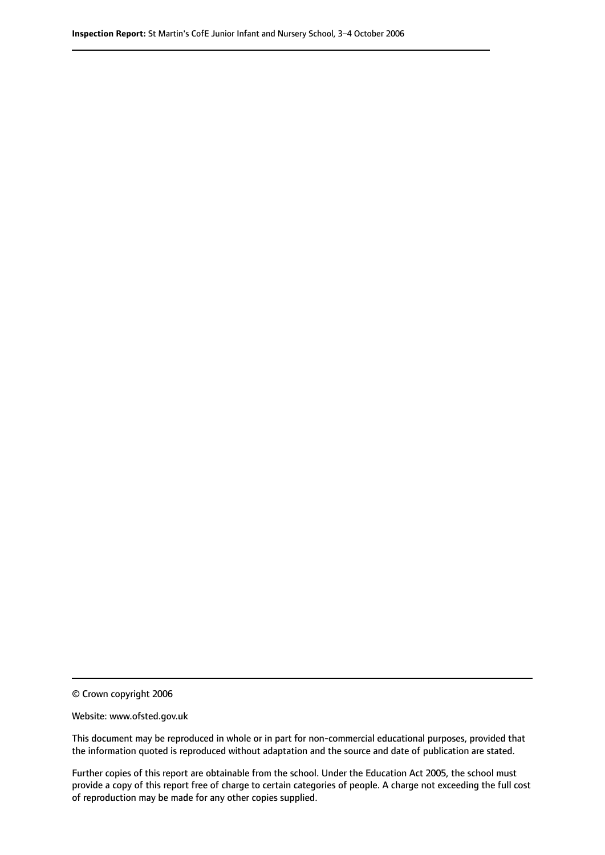© Crown copyright 2006

Website: www.ofsted.gov.uk

This document may be reproduced in whole or in part for non-commercial educational purposes, provided that the information quoted is reproduced without adaptation and the source and date of publication are stated.

Further copies of this report are obtainable from the school. Under the Education Act 2005, the school must provide a copy of this report free of charge to certain categories of people. A charge not exceeding the full cost of reproduction may be made for any other copies supplied.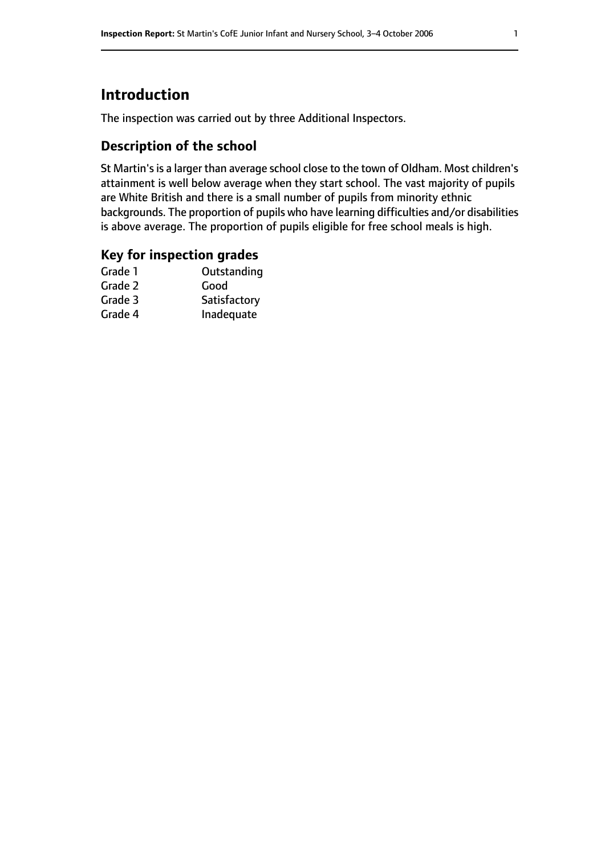# **Introduction**

The inspection was carried out by three Additional Inspectors.

## **Description of the school**

St Martin's is a larger than average school close to the town of Oldham. Most children's attainment is well below average when they start school. The vast majority of pupils are White British and there is a small number of pupils from minority ethnic backgrounds. The proportion of pupils who have learning difficulties and/or disabilities is above average. The proportion of pupils eligible for free school meals is high.

## **Key for inspection grades**

| Good         |
|--------------|
|              |
| Satisfactory |
| Inadequate   |
|              |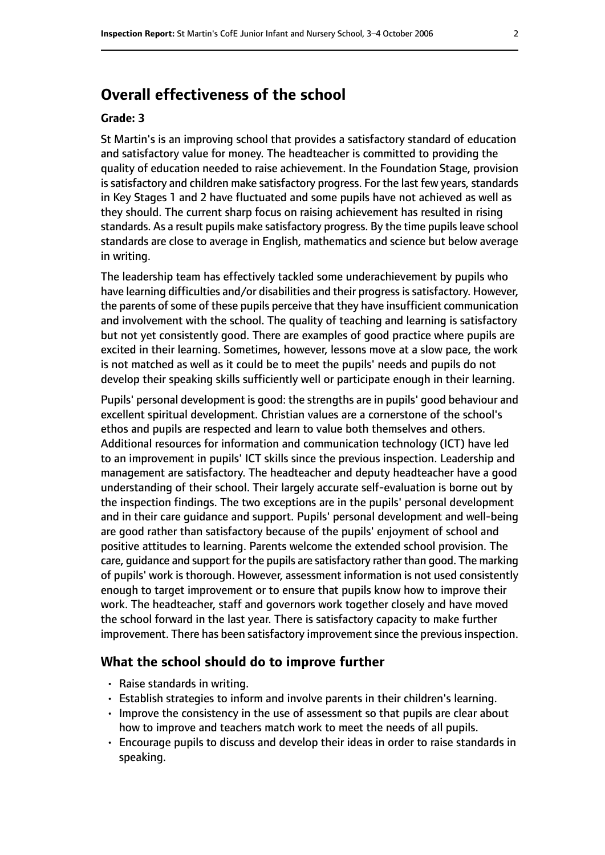## **Overall effectiveness of the school**

#### **Grade: 3**

St Martin's is an improving school that provides a satisfactory standard of education and satisfactory value for money. The headteacher is committed to providing the quality of education needed to raise achievement. In the Foundation Stage, provision is satisfactory and children make satisfactory progress. For the last few years, standards in Key Stages 1 and 2 have fluctuated and some pupils have not achieved as well as they should. The current sharp focus on raising achievement has resulted in rising standards. As a result pupils make satisfactory progress. By the time pupils leave school standards are close to average in English, mathematics and science but below average in writing.

The leadership team has effectively tackled some underachievement by pupils who have learning difficulties and/or disabilities and their progress is satisfactory. However, the parents of some of these pupils perceive that they have insufficient communication and involvement with the school. The quality of teaching and learning is satisfactory but not yet consistently good. There are examples of good practice where pupils are excited in their learning. Sometimes, however, lessons move at a slow pace, the work is not matched as well as it could be to meet the pupils' needs and pupils do not develop their speaking skills sufficiently well or participate enough in their learning.

Pupils' personal development is good: the strengths are in pupils' good behaviour and excellent spiritual development. Christian values are a cornerstone of the school's ethos and pupils are respected and learn to value both themselves and others. Additional resources for information and communication technology (ICT) have led to an improvement in pupils' ICT skills since the previous inspection. Leadership and management are satisfactory. The headteacher and deputy headteacher have a good understanding of their school. Their largely accurate self-evaluation is borne out by the inspection findings. The two exceptions are in the pupils' personal development and in their care guidance and support. Pupils' personal development and well-being are good rather than satisfactory because of the pupils' enjoyment of school and positive attitudes to learning. Parents welcome the extended school provision. The care, guidance and support for the pupils are satisfactory rather than good. The marking of pupils' work is thorough. However, assessment information is not used consistently enough to target improvement or to ensure that pupils know how to improve their work. The headteacher, staff and governors work together closely and have moved the school forward in the last year. There is satisfactory capacity to make further improvement. There has been satisfactory improvement since the previous inspection.

#### **What the school should do to improve further**

- Raise standards in writing.
- Establish strategies to inform and involve parents in their children's learning.
- Improve the consistency in the use of assessment so that pupils are clear about how to improve and teachers match work to meet the needs of all pupils.
- Encourage pupils to discuss and develop their ideas in order to raise standards in speaking.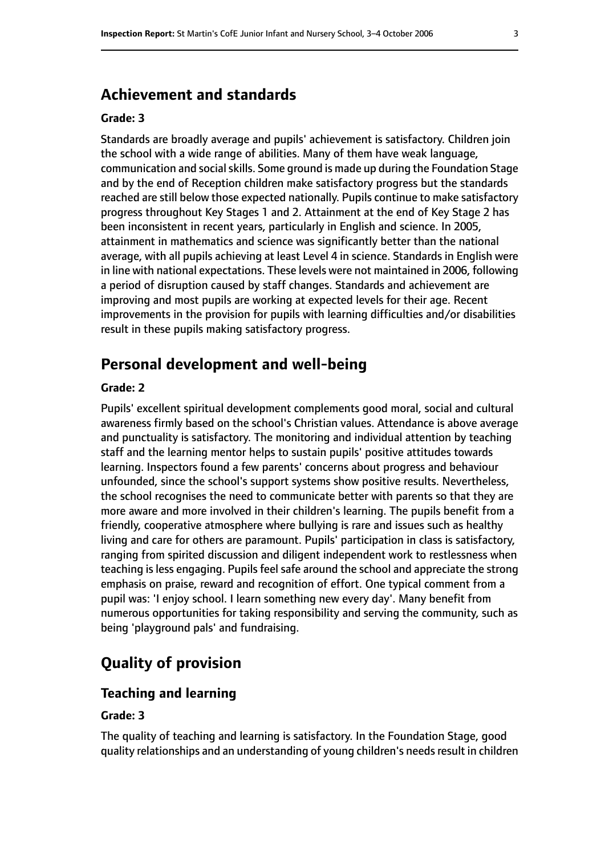## **Achievement and standards**

#### **Grade: 3**

Standards are broadly average and pupils' achievement is satisfactory. Children join the school with a wide range of abilities. Many of them have weak language, communication and social skills. Some ground is made up during the Foundation Stage and by the end of Reception children make satisfactory progress but the standards reached are still below those expected nationally. Pupils continue to make satisfactory progress throughout Key Stages 1 and 2. Attainment at the end of Key Stage 2 has been inconsistent in recent years, particularly in English and science. In 2005, attainment in mathematics and science was significantly better than the national average, with all pupils achieving at least Level 4 in science. Standards in English were in line with national expectations. These levels were not maintained in 2006, following a period of disruption caused by staff changes. Standards and achievement are improving and most pupils are working at expected levels for their age. Recent improvements in the provision for pupils with learning difficulties and/or disabilities result in these pupils making satisfactory progress.

## **Personal development and well-being**

#### **Grade: 2**

Pupils' excellent spiritual development complements good moral, social and cultural awareness firmly based on the school's Christian values. Attendance is above average and punctuality is satisfactory. The monitoring and individual attention by teaching staff and the learning mentor helps to sustain pupils' positive attitudes towards learning. Inspectors found a few parents' concerns about progress and behaviour unfounded, since the school's support systems show positive results. Nevertheless, the school recognises the need to communicate better with parents so that they are more aware and more involved in their children's learning. The pupils benefit from a friendly, cooperative atmosphere where bullying is rare and issues such as healthy living and care for others are paramount. Pupils' participation in class is satisfactory, ranging from spirited discussion and diligent independent work to restlessness when teaching is less engaging. Pupils feel safe around the school and appreciate the strong emphasis on praise, reward and recognition of effort. One typical comment from a pupil was: 'I enjoy school. I learn something new every day'. Many benefit from numerous opportunities for taking responsibility and serving the community, such as being 'playground pals' and fundraising.

# **Quality of provision**

#### **Teaching and learning**

#### **Grade: 3**

The quality of teaching and learning is satisfactory. In the Foundation Stage, good quality relationships and an understanding of young children's needsresult in children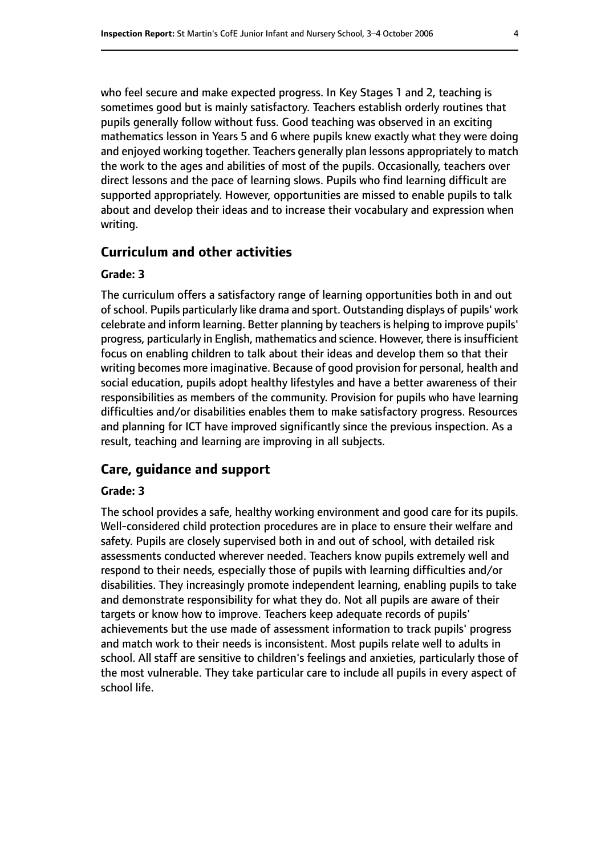who feel secure and make expected progress. In Key Stages 1 and 2, teaching is sometimes good but is mainly satisfactory. Teachers establish orderly routines that pupils generally follow without fuss. Good teaching was observed in an exciting mathematics lesson in Years 5 and 6 where pupils knew exactly what they were doing and enjoyed working together. Teachers generally plan lessons appropriately to match the work to the ages and abilities of most of the pupils. Occasionally, teachers over direct lessons and the pace of learning slows. Pupils who find learning difficult are supported appropriately. However, opportunities are missed to enable pupils to talk about and develop their ideas and to increase their vocabulary and expression when writing.

#### **Curriculum and other activities**

#### **Grade: 3**

The curriculum offers a satisfactory range of learning opportunities both in and out of school. Pupils particularly like drama and sport. Outstanding displays of pupils' work celebrate and inform learning. Better planning by teachers is helping to improve pupils' progress, particularly in English, mathematics and science. However, there is insufficient focus on enabling children to talk about their ideas and develop them so that their writing becomes more imaginative. Because of good provision for personal, health and social education, pupils adopt healthy lifestyles and have a better awareness of their responsibilities as members of the community. Provision for pupils who have learning difficulties and/or disabilities enables them to make satisfactory progress. Resources and planning for ICT have improved significantly since the previous inspection. As a result, teaching and learning are improving in all subjects.

## **Care, guidance and support**

#### **Grade: 3**

The school provides a safe, healthy working environment and good care for its pupils. Well-considered child protection procedures are in place to ensure their welfare and safety. Pupils are closely supervised both in and out of school, with detailed risk assessments conducted wherever needed. Teachers know pupils extremely well and respond to their needs, especially those of pupils with learning difficulties and/or disabilities. They increasingly promote independent learning, enabling pupils to take and demonstrate responsibility for what they do. Not all pupils are aware of their targets or know how to improve. Teachers keep adequate records of pupils' achievements but the use made of assessment information to track pupils' progress and match work to their needs is inconsistent. Most pupils relate well to adults in school. All staff are sensitive to children's feelings and anxieties, particularly those of the most vulnerable. They take particular care to include all pupils in every aspect of school life.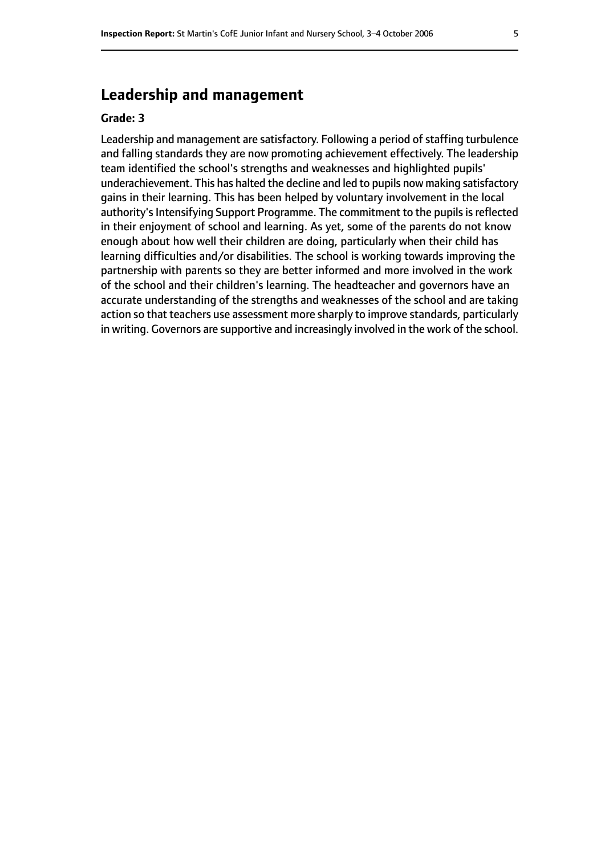## **Leadership and management**

#### **Grade: 3**

Leadership and management are satisfactory. Following a period of staffing turbulence and falling standards they are now promoting achievement effectively. The leadership team identified the school's strengths and weaknesses and highlighted pupils' underachievement. This has halted the decline and led to pupils now making satisfactory gains in their learning. This has been helped by voluntary involvement in the local authority's Intensifying Support Programme. The commitment to the pupils is reflected in their enjoyment of school and learning. As yet, some of the parents do not know enough about how well their children are doing, particularly when their child has learning difficulties and/or disabilities. The school is working towards improving the partnership with parents so they are better informed and more involved in the work of the school and their children's learning. The headteacher and governors have an accurate understanding of the strengths and weaknesses of the school and are taking action so that teachers use assessment more sharply to improve standards, particularly in writing. Governors are supportive and increasingly involved in the work of the school.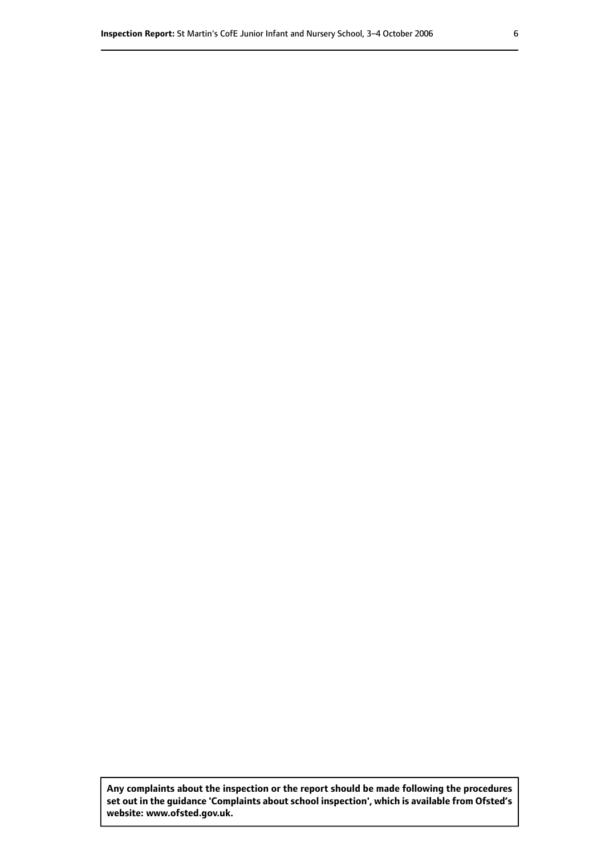**Any complaints about the inspection or the report should be made following the procedures set out inthe guidance 'Complaints about school inspection', whichis available from Ofsted's website: www.ofsted.gov.uk.**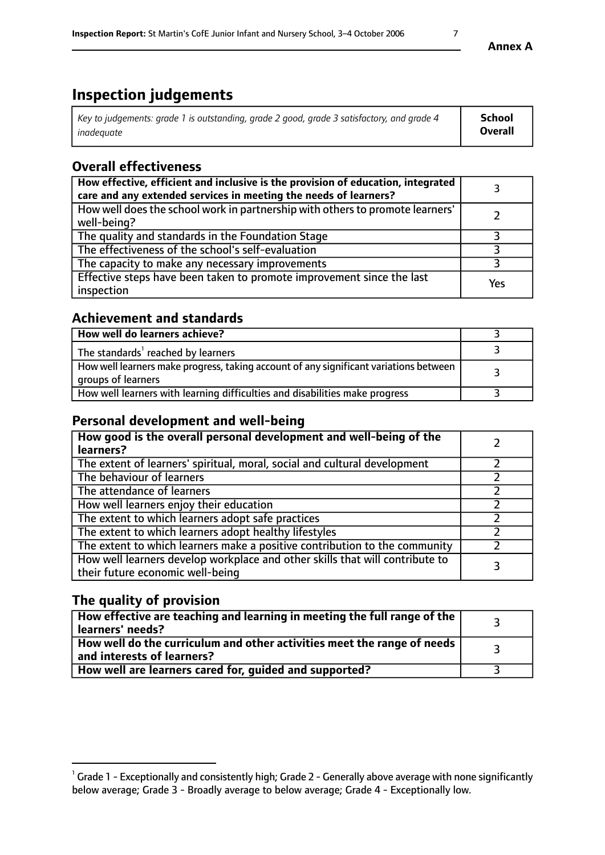# **Inspection judgements**

| Key to judgements: grade 1 is outstanding, grade 2 good, grade 3 satisfactory, and grade 4 | School         |
|--------------------------------------------------------------------------------------------|----------------|
| inadeauate                                                                                 | <b>Overall</b> |

# **Overall effectiveness**

| How effective, efficient and inclusive is the provision of education, integrated<br>care and any extended services in meeting the needs of learners? |     |
|------------------------------------------------------------------------------------------------------------------------------------------------------|-----|
| How well does the school work in partnership with others to promote learners'<br>well-being?                                                         |     |
| The quality and standards in the Foundation Stage                                                                                                    |     |
| The effectiveness of the school's self-evaluation                                                                                                    |     |
| The capacity to make any necessary improvements                                                                                                      |     |
| Effective steps have been taken to promote improvement since the last<br>inspection                                                                  | Yes |

## **Achievement and standards**

| How well do learners achieve?                                                                               |  |
|-------------------------------------------------------------------------------------------------------------|--|
| The standards <sup>1</sup> reached by learners                                                              |  |
| How well learners make progress, taking account of any significant variations between<br>groups of learners |  |
| How well learners with learning difficulties and disabilities make progress                                 |  |

## **Personal development and well-being**

| How good is the overall personal development and well-being of the<br>learners?                                  |  |
|------------------------------------------------------------------------------------------------------------------|--|
| The extent of learners' spiritual, moral, social and cultural development                                        |  |
| The behaviour of learners                                                                                        |  |
| The attendance of learners                                                                                       |  |
| How well learners enjoy their education                                                                          |  |
| The extent to which learners adopt safe practices                                                                |  |
| The extent to which learners adopt healthy lifestyles                                                            |  |
| The extent to which learners make a positive contribution to the community                                       |  |
| How well learners develop workplace and other skills that will contribute to<br>their future economic well-being |  |

## **The quality of provision**

| How effective are teaching and learning in meeting the full range of the<br>learners' needs?          |  |
|-------------------------------------------------------------------------------------------------------|--|
| How well do the curriculum and other activities meet the range of needs<br>and interests of learners? |  |
| How well are learners cared for, guided and supported?                                                |  |

 $^1$  Grade 1 - Exceptionally and consistently high; Grade 2 - Generally above average with none significantly below average; Grade 3 - Broadly average to below average; Grade 4 - Exceptionally low.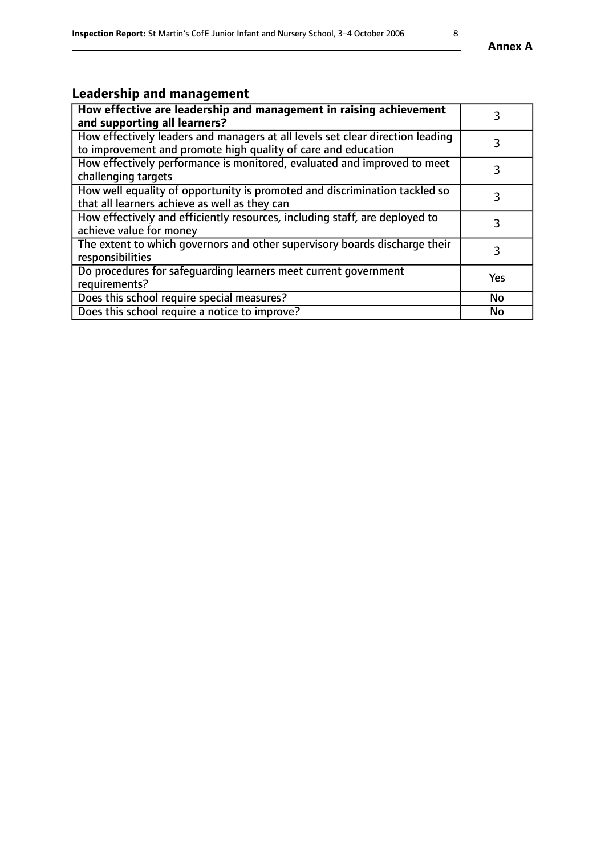# **Leadership and management**

| How effective are leadership and management in raising achievement<br>and supporting all learners?                                              | 3         |
|-------------------------------------------------------------------------------------------------------------------------------------------------|-----------|
| How effectively leaders and managers at all levels set clear direction leading<br>to improvement and promote high quality of care and education |           |
| How effectively performance is monitored, evaluated and improved to meet<br>challenging targets                                                 | 3         |
| How well equality of opportunity is promoted and discrimination tackled so<br>that all learners achieve as well as they can                     |           |
| How effectively and efficiently resources, including staff, are deployed to<br>achieve value for money                                          | 3         |
| The extent to which governors and other supervisory boards discharge their<br>responsibilities                                                  | 3         |
| Do procedures for safeguarding learners meet current government<br>requirements?                                                                | Yes       |
| Does this school require special measures?                                                                                                      | <b>No</b> |
| Does this school require a notice to improve?                                                                                                   | <b>No</b> |